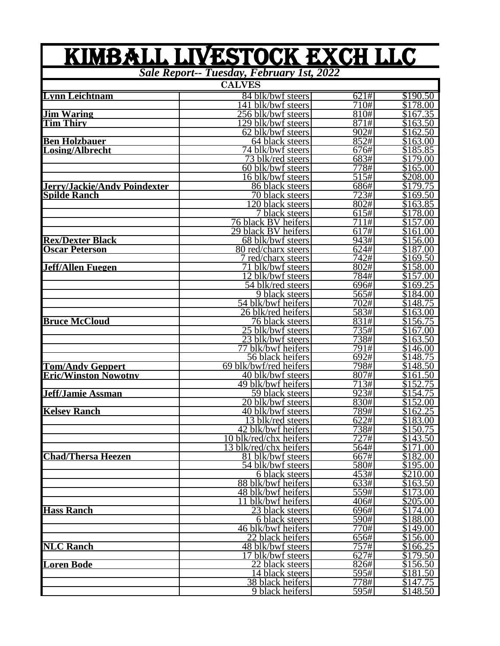## **Lynn Leichtnam** 84 blk/bwf steers 621# \$190.50<br>141 blk/bwf steers 710# \$178.00 141 blk/bwf steers 710# \$178.00 **Jim Waring** 256 blk/bwf steers 810# \$167.35 <u>The Subsection of the Subsectional Subsectional</u><br>
<u>This Subsectional</u><br> **This** Subsectional Subsectional Subsectional Subsectional Subsectional Subsectional Subsectional Subsectional Subsectional Subsectional Subsectional 62 blk/bwf steers 902# \$162.50<br>64 black steers 852# \$163.00 **Ben Holzbauer** 64 black steers 852# \$163.00 **Losing/Albrecht** 74 blk/bwf steers 676# \$185.85 73 blk/red steers 683# \$179.00<br>60 blk/bwf steers 778# \$165.00 60 blk/bwf steers 778# \$165.00<br>16 blk/bwf steers 515# \$208.00 16 blk/bwf steers <br>86 black steers <br>686# 5179.75 **Jerry/Jackie/Andy Poindexter** 86 black steers 686# \$179.75 **Spilde Ranch** 70 black steers 723# \$169.50<br>120 black steers 802# \$163.85 120 black steers 802# \$163.85<br>7 black steers 615# \$178.00 7 black steers 615# \$178.00<br>ck BV beifers 711# \$157.00 1 **black BV heifers** 111# 5157.00<br>29 black BV heifers 617# 5161.00 29 black BV heifers 617# \$161.00<br>68 blk/bwf steers 943# \$156.00 **Rex/Dexter Black** 68 blk/bwf steers 943# \$156.00<br> **Oscar Peterson** 80 red/charx steers 624# \$187.00 **<u>80 red/charx steers</u>** 624# \$187.00<br>
7 red/charx steers 742# \$169.50 7 red/charx steers 742# \$169.50<br>
71 blk/bwf steers 802# \$158.00 **Jeff/Allen Fuegen** 71 blk/bwf steers 802# \$158.00<br>12 blk/bwf steers 784# \$157.00 12 blk/bwf steers 784# \$157.00<br>54 blk/red steers 696# \$169.25 54 blk/red steers 696# \$169.25<br>9 black steers 565# \$184.00 9 black steers 565# \$184.00<br>hlk/bwf heifers 702# \$148.75 54 blk/bwf heifers 26 blk/red heifers 583# \$163.00<br>76 black steers 5831# \$156.75 **Bruce McCloud** 76 black steers 831# \$156.75<br>25 blk/bwf steers 735# \$167.00 25 blk/bwf steers 735# \$167.00<br>23 blk/bwf steers 738# \$163.50 23 blk/bwf steers 738# \$163.50<br>
791# \$146.00 77 blk/bwf heifers 791# \$146.00<br>56 black heifers 692# \$148.75 56 black heifers 692# \$148.75<br>
- 692# \$148.50 **Tom/Andy Geppert** 69 blk/bwf/red heifers 798# \$148.50<br> **Eric/Winston Nowotny** 40 blk/bwf steers 807# \$161.50 **Eric/Winston Nowotny** 40 blk/bwf steers 807# \$161.50<br>49 blk/bwf heifers 713# \$152.75 49 blk/bwf heifers 713# \$152.75<br>59 black steers 923# \$154.75 **Jeff/Jamie Assman** 59 black steers 923# \$154.75<br>20 blk/bwf steers 830# \$152.00 20 blk/bwf steers **Kelsey Ranch** 40 blk/bwf steers 789# \$162.25<br>13 blk/red steers 622# \$183.00 13 blk/red steers 622# \$183.00<br>2 blk/bwf heifers 738# \$150.75 42 blk/bwf heifers 738# \$150.75 10 blk/red/chx heifers 727# \$143.50<br>13 blk/red/chx heifers 564# \$171.00 13 blk/red/chx heifers 564# \$171.00<br>81 blk/bwf steers 667# \$182.00 **Chad/Thersa Heezen** 81 blk/bwf steers 667# \$182.00<br>54 blk/bwf steers 580# \$195.00 54 blk/bwf steers 580# \$195.00<br>6 black steers 580# \$210.00 6 black steers <br>1633# 163.50<br>163.50 163.50 88 blk/bwf heifers 633# \$163.50 48 blk/bwf heifers 559# \$173.00<br>11 blk/bwf heifers 406# \$205.00 11 blk/bwf heifers 406# \$205.00<br>23 black steers 696# \$174.00 **Hass Ranch** 23 black steers 696# \$174.00<br>6 black steers 590# \$188.00 6 black steers 590# \$188.00<br>| Ik/bwf heifers 770# \$149.00 46 blk/bwf heifers 770# \$149.00<br>22 black heifers 656# \$156.00 22 black heifers 656# \$156.00<br>8 blk/bwf steers 757# \$166.25 **NLC Ranch** 48 blk/bwf steers 757# \$166.25<br>17 blk/bwf steers 627# \$179.50 17 blk/bwf steers 627# \$179.50<br>22 black steers 826# \$156.50 **Loren Bode** 22 black steers 826# \$156.50<br>14 black steers 595# \$181.50 14 black steers 595# \$181.50<br>
8 black heifers 778# \$147.75 KIMBALL LIVESTOCK EXch LLC *Sale Report-- Tuesday, February 1st, 2022* **CALVES**

38 black heifers **778#** \$147.75<br>9 black heifers 595# \$148.50

9 black heifers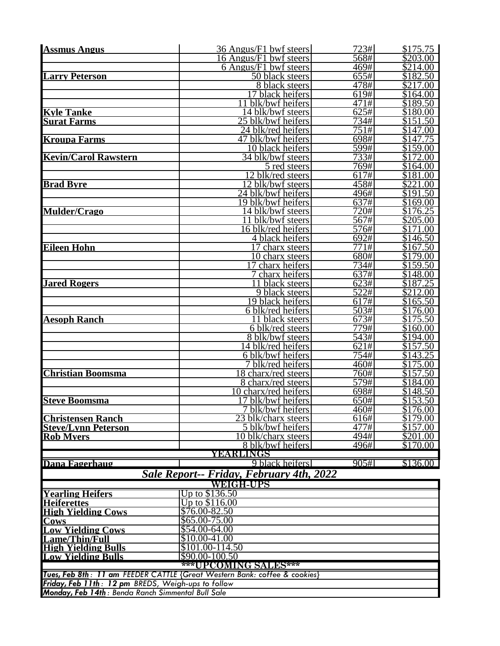| <b>Assmus Angus</b>                                    | 36 Angus/F1 bwf steers                                                    | 723#                       | \$175.75             |
|--------------------------------------------------------|---------------------------------------------------------------------------|----------------------------|----------------------|
|                                                        | 6 Angus/F1 bwf steers                                                     | 568#                       | \$203.00             |
|                                                        | 6 Angus/F1 bwf steers                                                     | 469#                       | \$214.00             |
| <b>Larry Peterson</b>                                  | 50 black steers                                                           | 655#                       | \$182.50             |
|                                                        | 8 black steers<br>17 black heifers                                        | 478#<br>619#               | \$217.00<br>\$164.00 |
|                                                        | 11 blk/bwf heifers                                                        | $\overline{47}1\#$         | \$189.50             |
| <b>Kyle Tanke</b>                                      | 14 blk/bwf steers                                                         | 625#                       | $\sqrt{$180.00}$     |
| <b>Surat Farms</b>                                     | $25$ blk/bwf heifers                                                      | 734#                       | \$151.50             |
|                                                        | 24 blk/red heifers                                                        | 751#                       | \$147.00             |
| <b>Kroupa Farms</b>                                    | 47 blk/bwf heifers                                                        | 698#                       | \$147.75             |
|                                                        | 10 black heifers                                                          | 599#                       | \$159.00             |
| <b>Kevin/Carol Rawstern</b>                            | 34 blk/bwf steers                                                         | 733#                       | \$172.00             |
|                                                        | 5 red steers                                                              | 769#                       | \$164.00<br>\$181.00 |
| <b>Brad Byre</b>                                       | 12 blk/red steers<br>$\overline{12}$ blk/bwf steers                       | $\overline{617}$ #<br>458# | \$221.00             |
|                                                        | 24 blk/bwf heifers                                                        | 496#                       | \$191.50             |
|                                                        | 19 blk/bwf heifers                                                        | 637#                       | \$169.00             |
| <b>Mulder/Crago</b>                                    | <u>14 blk/bwf steers</u>                                                  | 720#                       | \$176.25             |
|                                                        | 11 blk/bwf steers                                                         | 567#                       | \$205.00             |
|                                                        | 16 blk/red heifers                                                        | 576#                       | $\overline{$171.00}$ |
|                                                        | 4 black heifers                                                           | 692#                       | \$146.50             |
| <b>Eileen Hohn</b>                                     | 17 charx steers                                                           | $\overline{77}1#$          | \$167.50             |
|                                                        | 10 charx steers<br>$\overline{17}$ charx heifers                          | 680#<br>734#               | \$179.00<br>\$159.50 |
|                                                        | 7 charx heifers                                                           | 637#                       | \$148.00             |
| <b>Jared Rogers</b>                                    | 11 black steers                                                           | 623#                       | \$187.25             |
|                                                        | 9 black steers                                                            | 522#                       | \$212.00             |
|                                                        | 19 black heifers                                                          | 617#                       | \$165.50             |
|                                                        | 6 blk/red heifers                                                         | 503#                       | \$176.00             |
| <b>Aesoph Ranch</b>                                    | 11 black steers                                                           | 673#                       | \$175.50             |
|                                                        | 6 blk/red steers                                                          | 779#                       | \$160.00             |
|                                                        | 8 blk/bwf steers<br>14 blk/red heifers                                    | $\overline{543#}$<br>621#  | \$194.00<br>\$157.50 |
|                                                        | 6 blk/bwf heifers                                                         | 754#                       | \$143.25             |
|                                                        | 7 blk/red heifers                                                         | 460#                       | $\overline{$175.00}$ |
| <b>Christian Boomsma</b>                               | 18 charx/red steers                                                       | 760#                       | \$157.50             |
|                                                        | 8 charx/red steers                                                        | 579#                       | \$184.00             |
|                                                        | 10 charx/red heifers                                                      | 698#                       | \$148.50             |
| <b>Steve Boomsma</b>                                   | 17 blk/bwf heifers                                                        | 650#                       | \$153.50             |
|                                                        | 7 blk/bwf heifers                                                         | 460#                       | \$176.00             |
| <b>Christensen Ranch</b><br><b>Steve/Lynn Peterson</b> | $\overline{23}$ blk/charx steers<br>5 blk/bwf heifers                     | 616#<br>477#               | \$179.00<br>\$157.00 |
| <b>Rob Myers</b>                                       | 10 blk/charx steers                                                       | 494#                       | \$201.00             |
|                                                        | 8 blk/bwf heifers                                                         | 496#                       | \$170.00             |
|                                                        | YEARLINGS                                                                 |                            |                      |
| Dana Fagerhaug                                         | 9 black heifers                                                           | 905#1                      | \$136.00             |
|                                                        | Sale Report-- Friday, February 4th, 2022                                  |                            |                      |
|                                                        | <b>WEIGH-UPS</b>                                                          |                            |                      |
| <b>Yearling Heifers</b>                                | Up to \$136.50                                                            |                            |                      |
| <b>Heiferettes</b>                                     | Up to \$116.00                                                            |                            |                      |
| <b>High Yielding Cows</b>                              | \$76.00-82.50                                                             |                            |                      |
| <b>Cows</b><br><b>Low Yielding Cows</b>                | \$65.00-75.00<br>\$54.00-64.00                                            |                            |                      |
| <b>Lame/Thin/Full</b>                                  | \$10.00-41.00                                                             |                            |                      |
| <b>High Yielding Bulls</b>                             | \$101.00-114.50                                                           |                            |                      |
| <b>Low Yielding Bulls</b>                              | \$90.00-100.50                                                            |                            |                      |
|                                                        | ***UPCOMING SALES***                                                      |                            |                      |
|                                                        | Tues, Feb 8th: 11 am FEEDER CATTLE {Great Western Bank: coffee & cookies} |                            |                      |
| Friday, Feb 11th: 12 pm BREDS, Weigh-ups to follow     |                                                                           |                            |                      |
| Monday, Feb 14th: Benda Ranch Simmental Bull Sale      |                                                                           |                            |                      |